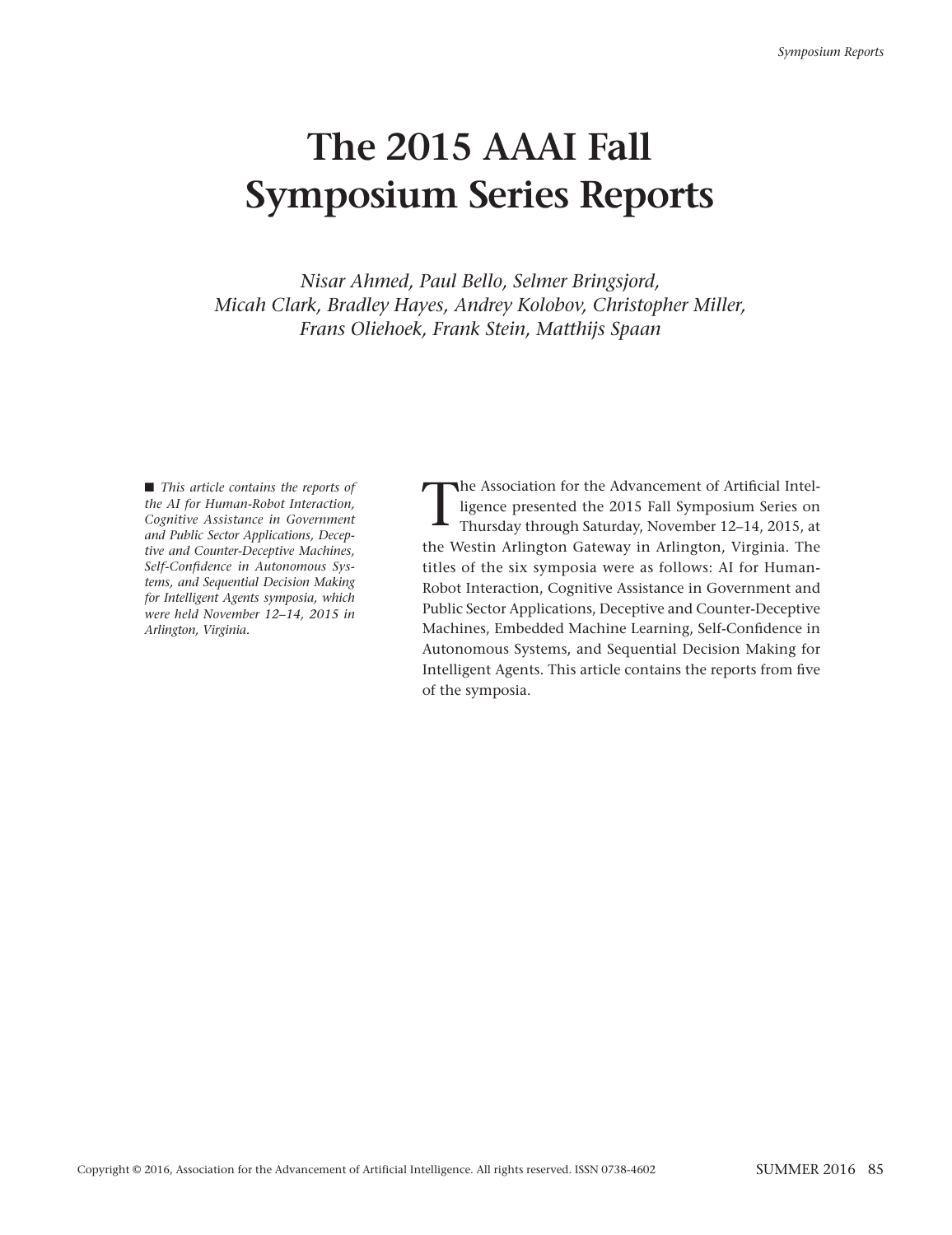# **The 2015 AAAI Fall Symposium Series Reports**

*Nisar Ahmed, Paul Bello, Selmer Bringsjord, Micah Clark, Bradley Hayes, Andrey Kolobov, Christopher Miller, Frans Oliehoek, Frank Stein, Matthijs Spaan*

■ *This article contains the reports of the AI for Human-Robot Interaction, Cognitive Assistance in Government and Public Sector Applications, Deceptive and Counter-Deceptive Machines, Self-Confidence in Autonomous Systems, and Sequential Decision Making for Intelligent Agents symposia, which were held November 12–14, 2015 in Arlington, Virginia.* 

The Association for the Advancement of Artificial Intelligence presented the 2015 Fall Symposium Series on Thursday through Saturday, November 12–14, 2015, at ligence presented the 2015 Fall Symposium Series on the Westin Arlington Gateway in Arlington, Virginia. The titles of the six symposia were as follows: AI for Human-Robot Interaction, Cognitive Assistance in Government and Public Sector Applications, Deceptive and Counter-Deceptive Machines, Embedded Machine Learning, Self-Confidence in Autonomous Systems, and Sequential Decision Making for Intelligent Agents. This article contains the reports from five of the symposia.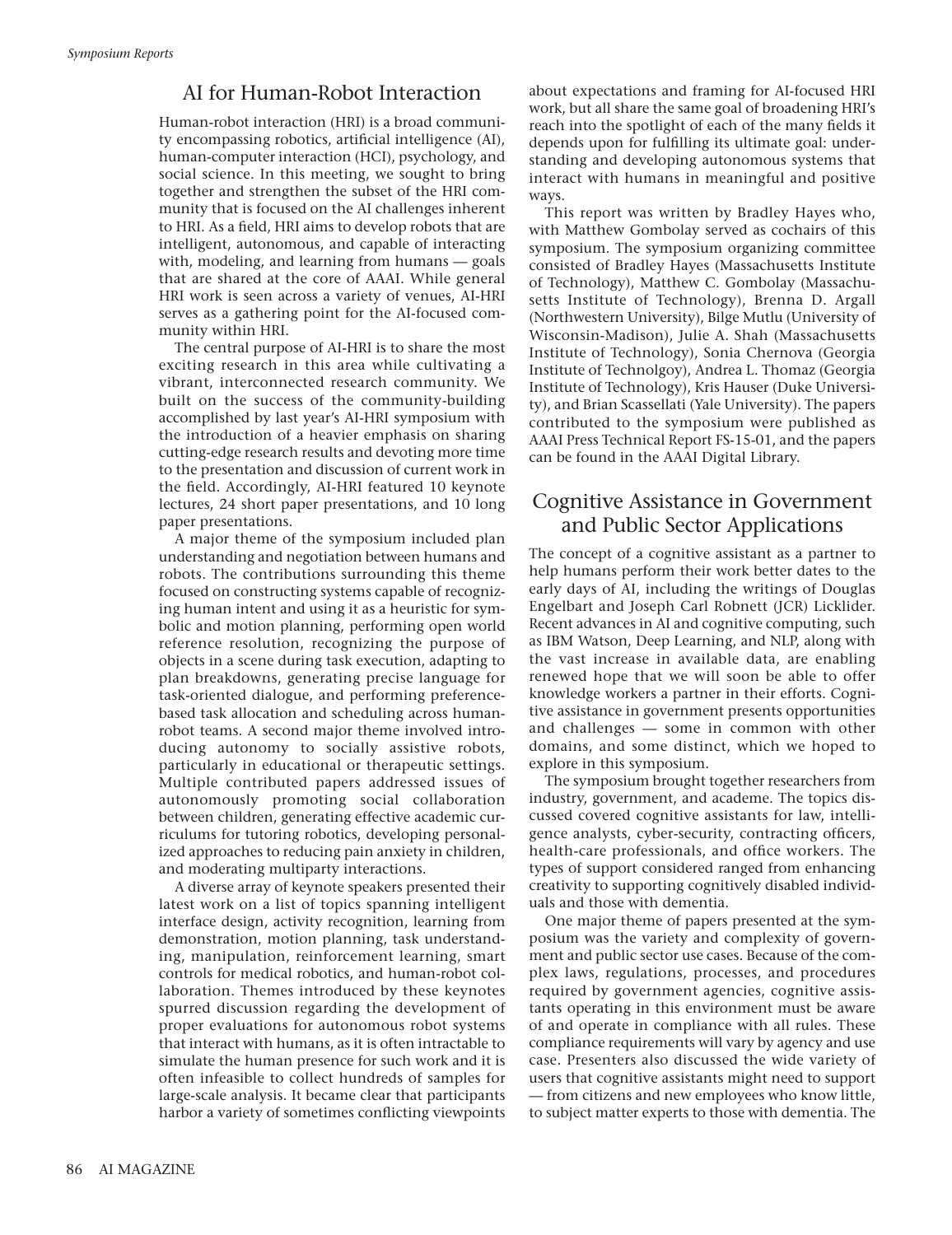## AI for Human-Robot Interaction

Human-robot interaction (HRI) is a broad community encompassing robotics, artificial intelligence (AI), human-computer interaction (HCI), psychology, and social science. In this meeting, we sought to bring together and strengthen the subset of the HRI community that is focused on the AI challenges inherent to HRI. As a field, HRI aims to develop robots that are intelligent, autonomous, and capable of interacting with, modeling, and learning from humans — goals that are shared at the core of AAAI. While general HRI work is seen across a variety of venues, AI-HRI serves as a gathering point for the AI-focused community within HRI.

The central purpose of AI-HRI is to share the most exciting research in this area while cultivating a vibrant, interconnected research community. We built on the success of the community-building accomplished by last year's AI-HRI symposium with the introduction of a heavier emphasis on sharing cutting-edge research results and devoting more time to the presentation and discussion of current work in the field. Accordingly, AI-HRI featured 10 keynote lectures, 24 short paper presentations, and 10 long paper presentations.

A major theme of the symposium included plan understanding and negotiation between humans and robots. The contributions surrounding this theme focused on constructing systems capable of recognizing human intent and using it as a heuristic for symbolic and motion planning, performing open world reference resolution, recognizing the purpose of objects in a scene during task execution, adapting to plan breakdowns, generating precise language for task-oriented dialogue, and performing preferencebased task allocation and scheduling across humanrobot teams. A second major theme involved introducing autonomy to socially assistive robots, particularly in educational or therapeutic settings. Multiple contributed papers addressed issues of autonomously promoting social collaboration between children, generating effective academic curriculums for tutoring robotics, developing personalized approaches to reducing pain anxiety in children, and moderating multiparty interactions.

A diverse array of keynote speakers presented their latest work on a list of topics spanning intelligent interface design, activity recognition, learning from demonstration, motion planning, task understanding, manipulation, reinforcement learning, smart controls for medical robotics, and human-robot collaboration. Themes introduced by these keynotes spurred discussion regarding the development of proper evaluations for autonomous robot systems that interact with humans, as it is often intractable to simulate the human presence for such work and it is often infeasible to collect hundreds of samples for large-scale analysis. It became clear that participants harbor a variety of sometimes conflicting viewpoints

about expectations and framing for AI-focused HRI work, but all share the same goal of broadening HRI's reach into the spotlight of each of the many fields it depends upon for fulfilling its ultimate goal: understanding and developing autonomous systems that interact with humans in meaningful and positive ways.

This report was written by Bradley Hayes who, with Matthew Gombolay served as cochairs of this symposium. The symposium organizing committee consisted of Bradley Hayes (Massachusetts Institute of Technology), Matthew C. Gombolay (Massachusetts Institute of Technology), Brenna D. Argall (Northwestern University), Bilge Mutlu (University of Wisconsin-Madison), Julie A. Shah (Massachusetts Institute of Technology), Sonia Chernova (Georgia Institute of Technolgoy), Andrea L. Thomaz (Georgia Institute of Technology), Kris Hauser (Duke University), and Brian Scassellati (Yale University). The papers contributed to the symposium were published as AAAI Press Technical Report FS-15-01, and the papers can be found in the AAAI Digital Library.

# Cognitive Assistance in Government and Public Sector Applications

The concept of a cognitive assistant as a partner to help humans perform their work better dates to the early days of AI, including the writings of Douglas Engelbart and Joseph Carl Robnett (JCR) Licklider. Recent advances in AI and cognitive computing, such as IBM Watson, Deep Learning, and NLP, along with the vast increase in available data, are enabling renewed hope that we will soon be able to offer knowledge workers a partner in their efforts. Cognitive assistance in government presents opportunities and challenges — some in common with other domains, and some distinct, which we hoped to explore in this symposium.

The symposium brought together researchers from industry, government, and academe. The topics discussed covered cognitive assistants for law, intelligence analysts, cyber-security, contracting officers, health-care professionals, and office workers. The types of support considered ranged from enhancing creativity to supporting cognitively disabled individuals and those with dementia.

One major theme of papers presented at the symposium was the variety and complexity of government and public sector use cases. Because of the complex laws, regulations, processes, and procedures required by government agencies, cognitive assistants operating in this environment must be aware of and operate in compliance with all rules. These compliance requirements will vary by agency and use case. Presenters also discussed the wide variety of users that cognitive assistants might need to support — from citizens and new employees who know little, to subject matter experts to those with dementia. The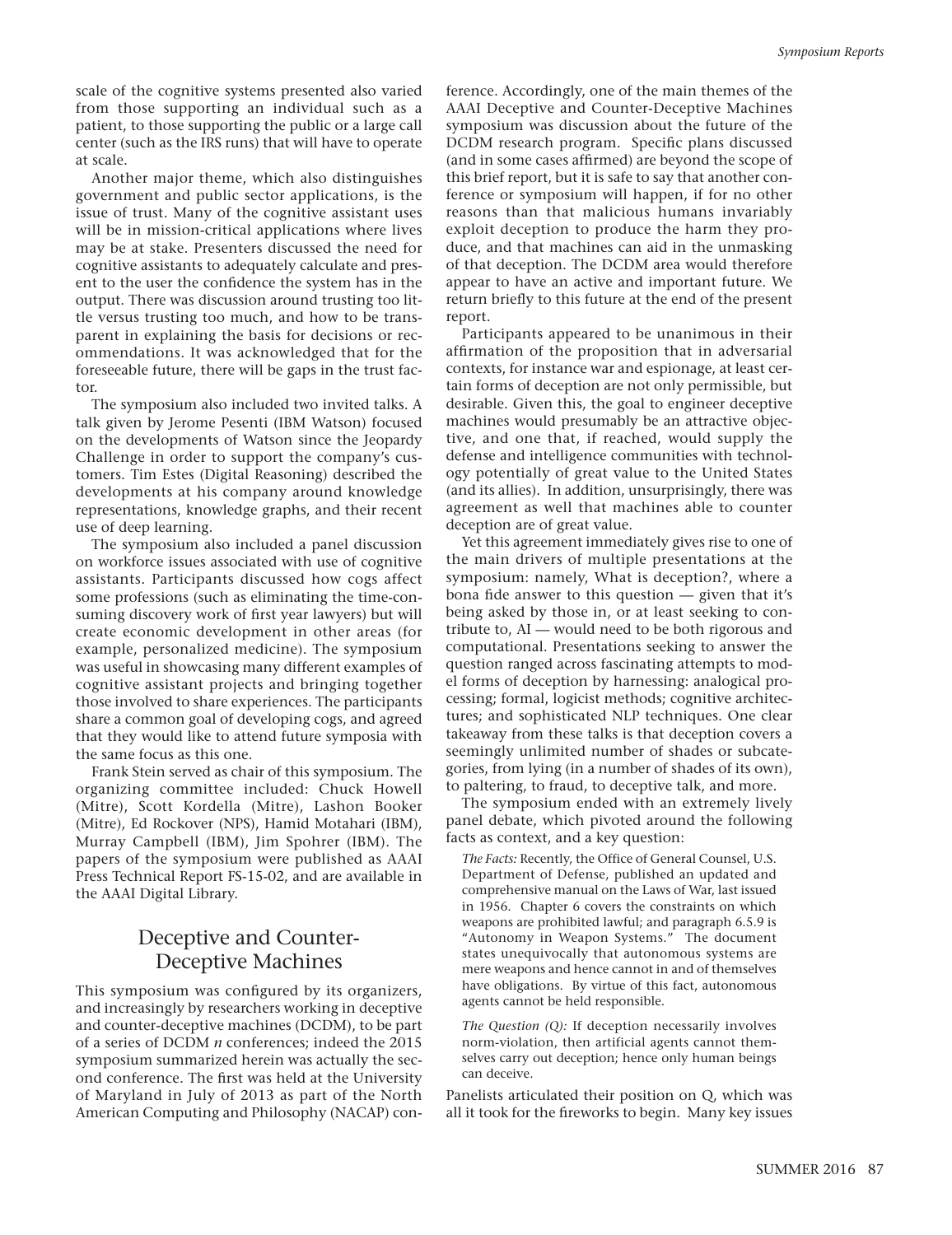scale of the cognitive systems presented also varied from those supporting an individual such as a patient, to those supporting the public or a large call center (such as the IRS runs) that will have to operate at scale.

Another major theme, which also distinguishes government and public sector applications, is the issue of trust. Many of the cognitive assistant uses will be in mission-critical applications where lives may be at stake. Presenters discussed the need for cognitive assistants to adequately calculate and present to the user the confidence the system has in the output. There was discussion around trusting too little versus trusting too much, and how to be transparent in explaining the basis for decisions or recommendations. It was acknowledged that for the foreseeable future, there will be gaps in the trust factor.

The symposium also included two invited talks. A talk given by Jerome Pesenti (IBM Watson) focused on the developments of Watson since the Jeopardy Challenge in order to support the company's customers. Tim Estes (Digital Reasoning) described the developments at his company around knowledge representations, knowledge graphs, and their recent use of deep learning.

The symposium also included a panel discussion on workforce issues associated with use of cognitive assistants. Participants discussed how cogs affect some professions (such as eliminating the time-consuming discovery work of first year lawyers) but will create economic development in other areas (for example, personalized medicine). The symposium was useful in showcasing many different examples of cognitive assistant projects and bringing together those involved to share experiences. The participants share a common goal of developing cogs, and agreed that they would like to attend future symposia with the same focus as this one.

Frank Stein served as chair of this symposium. The organizing committee included: Chuck Howell (Mitre), Scott Kordella (Mitre), Lashon Booker (Mitre), Ed Rockover (NPS), Hamid Motahari (IBM), Murray Campbell (IBM), Jim Spohrer (IBM). The papers of the symposium were published as AAAI Press Technical Report FS-15-02, and are available in the AAAI Digital Library.

# Deceptive and Counter-Deceptive Machines

This symposium was configured by its organizers, and increasingly by researchers working in deceptive and counter-deceptive machines (DCDM), to be part of a series of DCDM *n* conferences; indeed the 2015 symposium summarized herein was actually the second conference. The first was held at the University of Maryland in July of 2013 as part of the North American Computing and Philosophy (NACAP) conference. Accordingly, one of the main themes of the AAAI Deceptive and Counter-Deceptive Machines symposium was discussion about the future of the DCDM research program. Specific plans discussed (and in some cases affirmed) are beyond the scope of this brief report, but it is safe to say that another conference or symposium will happen, if for no other reasons than that malicious humans invariably exploit deception to produce the harm they produce, and that machines can aid in the unmasking of that deception. The DCDM area would therefore appear to have an active and important future. We return briefly to this future at the end of the present report.

Participants appeared to be unanimous in their affirmation of the proposition that in adversarial contexts, for instance war and espionage, at least certain forms of deception are not only permissible, but desirable. Given this, the goal to engineer deceptive machines would presumably be an attractive objective, and one that, if reached, would supply the defense and intelligence communities with technology potentially of great value to the United States (and its allies). In addition, unsurprisingly, there was agreement as well that machines able to counter deception are of great value.

Yet this agreement immediately gives rise to one of the main drivers of multiple presentations at the symposium: namely, What is deception?, where a bona fide answer to this question — given that it's being asked by those in, or at least seeking to contribute to, AI — would need to be both rigorous and computational. Presentations seeking to answer the question ranged across fascinating attempts to model forms of deception by harnessing: analogical processing; formal, logicist methods; cognitive architectures; and sophisticated NLP techniques. One clear takeaway from these talks is that deception covers a seemingly unlimited number of shades or subcategories, from lying (in a number of shades of its own), to paltering, to fraud, to deceptive talk, and more.

The symposium ended with an extremely lively panel debate, which pivoted around the following facts as context, and a key question:

*The Facts:* Recently, the Office of General Counsel, U.S. Department of Defense, published an updated and comprehensive manual on the Laws of War, last issued in 1956. Chapter 6 covers the constraints on which weapons are prohibited lawful; and paragraph 6.5.9 is "Autonomy in Weapon Systems." The document states unequivocally that autonomous systems are mere weapons and hence cannot in and of themselves have obligations. By virtue of this fact, autonomous agents cannot be held responsible.

*The Question (Q):* If deception necessarily involves norm-violation, then artificial agents cannot themselves carry out deception; hence only human beings can deceive.

Panelists articulated their position on Q, which was all it took for the fireworks to begin. Many key issues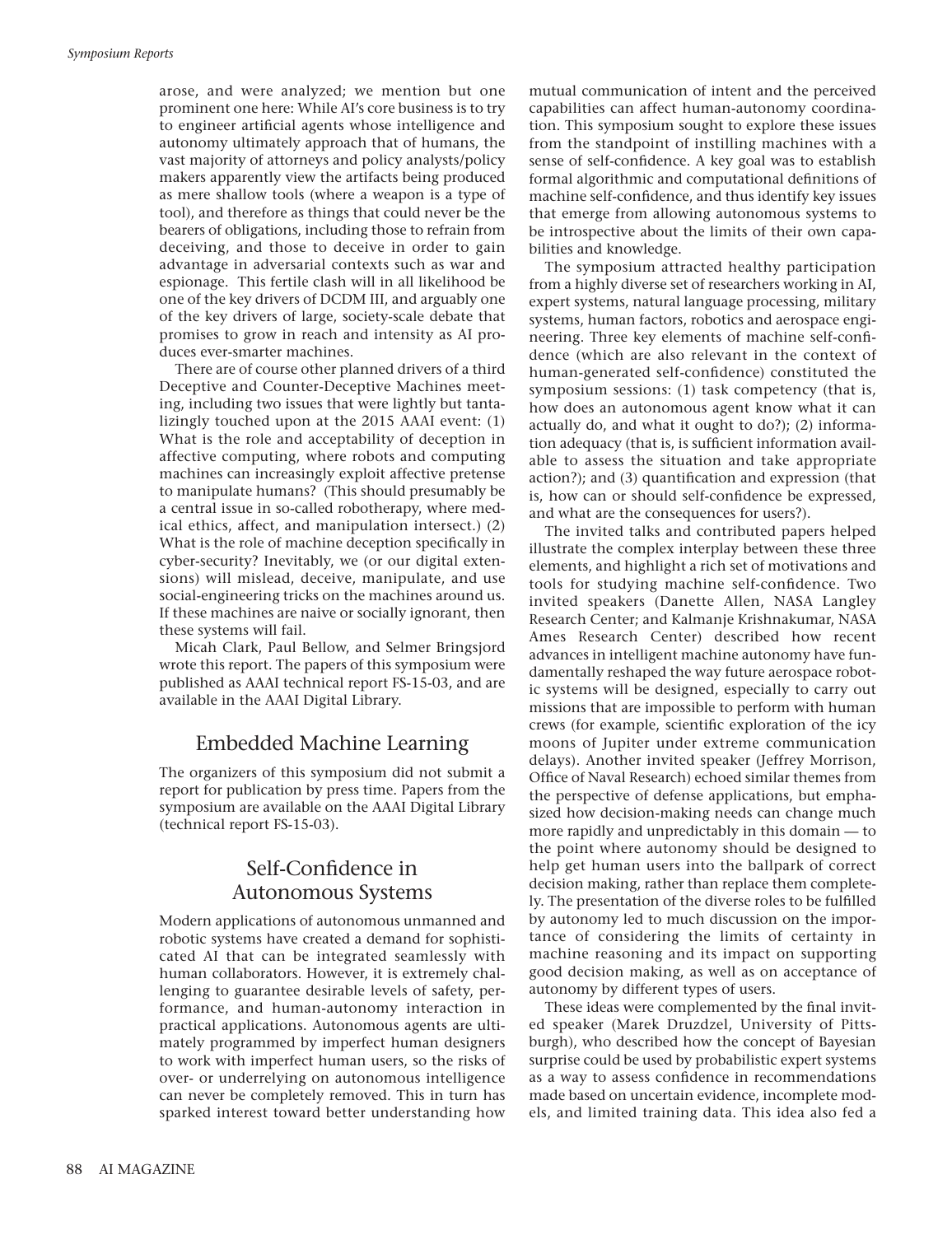arose, and were analyzed; we mention but one prominent one here: While AI's core business is to try to engineer artificial agents whose intelligence and autonomy ultimately approach that of humans, the vast majority of attorneys and policy analysts/policy makers apparently view the artifacts being produced as mere shallow tools (where a weapon is a type of tool), and therefore as things that could never be the bearers of obligations, including those to refrain from deceiving, and those to deceive in order to gain advantage in adversarial contexts such as war and espionage. This fertile clash will in all likelihood be one of the key drivers of DCDM III, and arguably one of the key drivers of large, society-scale debate that promises to grow in reach and intensity as AI produces ever-smarter machines.

There are of course other planned drivers of a third Deceptive and Counter-Deceptive Machines meeting, including two issues that were lightly but tantalizingly touched upon at the 2015 AAAI event: (1) What is the role and acceptability of deception in affective computing, where robots and computing machines can increasingly exploit affective pretense to manipulate humans? (This should presumably be a central issue in so-called robotherapy, where medical ethics, affect, and manipulation intersect.) (2) What is the role of machine deception specifically in cyber-security? Inevitably, we (or our digital extensions) will mislead, deceive, manipulate, and use social-engineering tricks on the machines around us. If these machines are naive or socially ignorant, then these systems will fail.

Micah Clark, Paul Bellow, and Selmer Bringsjord wrote this report. The papers of this symposium were published as AAAI technical report FS-15-03, and are available in the AAAI Digital Library.

#### Embedded Machine Learning

The organizers of this symposium did not submit a report for publication by press time. Papers from the symposium are available on the AAAI Digital Library (technical report FS-15-03).

# Self-Confidence in Autonomous Systems

Modern applications of autonomous unmanned and robotic systems have created a demand for sophisticated AI that can be integrated seamlessly with human collaborators. However, it is extremely challenging to guarantee desirable levels of safety, performance, and human-autonomy interaction in practical applications. Autonomous agents are ultimately programmed by imperfect human designers to work with imperfect human users, so the risks of over- or underrelying on autonomous intelligence can never be completely removed. This in turn has sparked interest toward better understanding how

mutual communication of intent and the perceived capabilities can affect human-autonomy coordination. This symposium sought to explore these issues from the standpoint of instilling machines with a sense of self-confidence. A key goal was to establish formal algorithmic and computational definitions of machine self-confidence, and thus identify key issues that emerge from allowing autonomous systems to be introspective about the limits of their own capabilities and knowledge.

The symposium attracted healthy participation from a highly diverse set of researchers working in AI, expert systems, natural language processing, military systems, human factors, robotics and aerospace engineering. Three key elements of machine self-confidence (which are also relevant in the context of human-generated self-confidence) constituted the symposium sessions: (1) task competency (that is, how does an autonomous agent know what it can actually do, and what it ought to do?); (2) information adequacy (that is, is sufficient information available to assess the situation and take appropriate action?); and (3) quantification and expression (that is, how can or should self-confidence be expressed, and what are the consequences for users?).

The invited talks and contributed papers helped illustrate the complex interplay between these three elements, and highlight a rich set of motivations and tools for studying machine self-confidence. Two invited speakers (Danette Allen, NASA Langley Research Center; and Kalmanje Krishnakumar, NASA Ames Research Center) described how recent advances in intelligent machine autonomy have fundamentally reshaped the way future aerospace robotic systems will be designed, especially to carry out missions that are impossible to perform with human crews (for example, scientific exploration of the icy moons of Jupiter under extreme communication delays). Another invited speaker (Jeffrey Morrison, Office of Naval Research) echoed similar themes from the perspective of defense applications, but emphasized how decision-making needs can change much more rapidly and unpredictably in this domain — to the point where autonomy should be designed to help get human users into the ballpark of correct decision making, rather than replace them completely. The presentation of the diverse roles to be fulfilled by autonomy led to much discussion on the importance of considering the limits of certainty in machine reasoning and its impact on supporting good decision making, as well as on acceptance of autonomy by different types of users.

These ideas were complemented by the final invited speaker (Marek Druzdzel, University of Pittsburgh), who described how the concept of Bayesian surprise could be used by probabilistic expert systems as a way to assess confidence in recommendations made based on uncertain evidence, incomplete models, and limited training data. This idea also fed a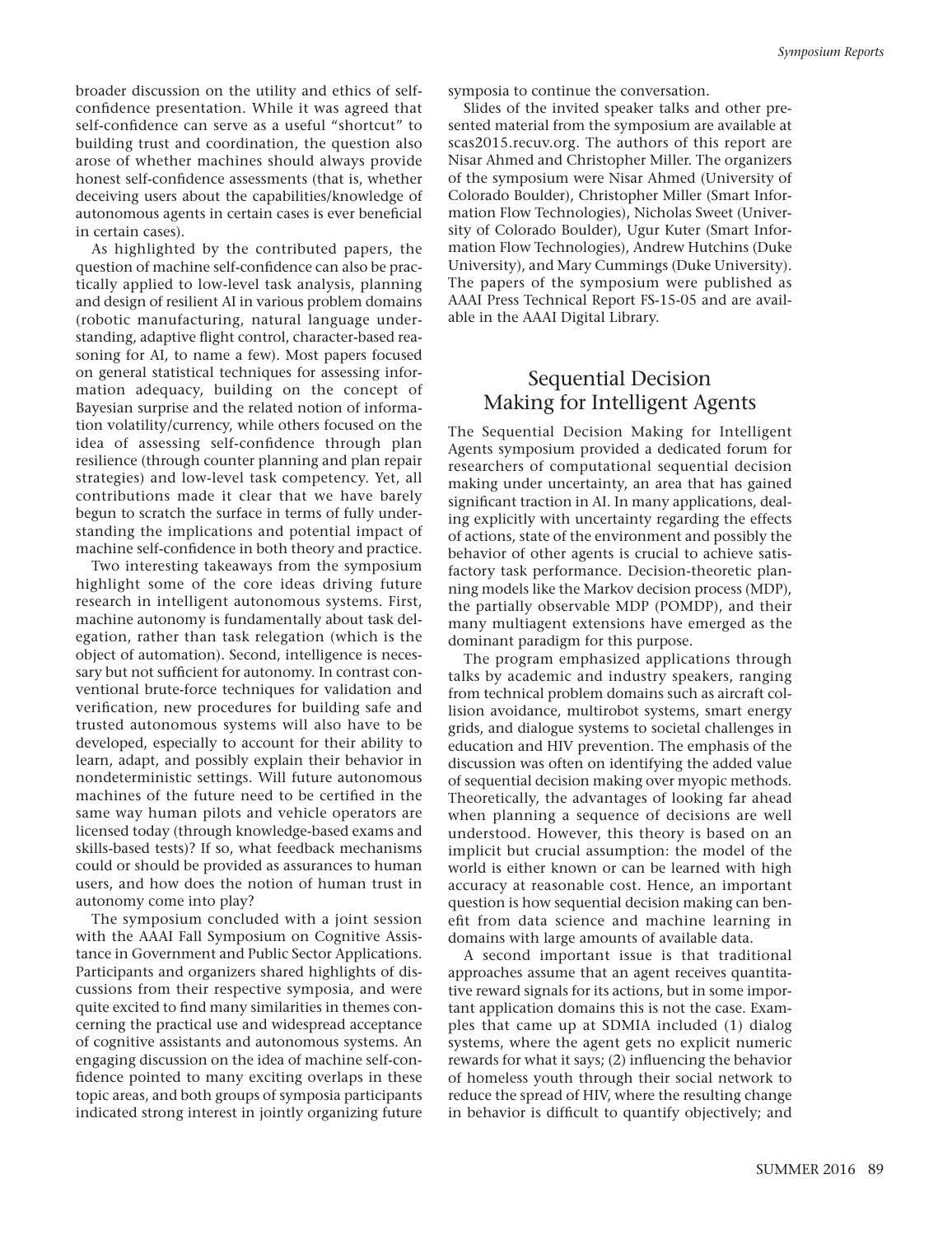broader discussion on the utility and ethics of selfconfidence presentation. While it was agreed that self-confidence can serve as a useful "shortcut" to building trust and coordination, the question also arose of whether machines should always provide honest self-confidence assessments (that is, whether deceiving users about the capabilities/knowledge of autonomous agents in certain cases is ever beneficial in certain cases).

As highlighted by the contributed papers, the question of machine self-confidence can also be practically applied to low-level task analysis, planning and design of resilient AI in various problem domains (robotic manufacturing, natural language understanding, adaptive flight control, character-based reasoning for AI, to name a few). Most papers focused on general statistical techniques for assessing information adequacy, building on the concept of Bayesian surprise and the related notion of information volatility/currency, while others focused on the idea of assessing self-confidence through plan resilience (through counter planning and plan repair strategies) and low-level task competency. Yet, all contributions made it clear that we have barely begun to scratch the surface in terms of fully understanding the implications and potential impact of machine self-confidence in both theory and practice.

Two interesting takeaways from the symposium highlight some of the core ideas driving future research in intelligent autonomous systems. First, machine autonomy is fundamentally about task delegation, rather than task relegation (which is the object of automation). Second, intelligence is necessary but not sufficient for autonomy. In contrast conventional brute-force techniques for validation and verification, new procedures for building safe and trusted autonomous systems will also have to be developed, especially to account for their ability to learn, adapt, and possibly explain their behavior in nondeterministic settings. Will future autonomous machines of the future need to be certified in the same way human pilots and vehicle operators are licensed today (through knowledge-based exams and skills-based tests)? If so, what feedback mechanisms could or should be provided as assurances to human users, and how does the notion of human trust in autonomy come into play?

The symposium concluded with a joint session with the AAAI Fall Symposium on Cognitive Assistance in Government and Public Sector Applications. Participants and organizers shared highlights of discussions from their respective symposia, and were quite excited to find many similarities in themes concerning the practical use and widespread acceptance of cognitive assistants and autonomous systems. An engaging discussion on the idea of machine self-confidence pointed to many exciting overlaps in these topic areas, and both groups of symposia participants indicated strong interest in jointly organizing future

symposia to continue the conversation.

Slides of the invited speaker talks and other presented material from the symposium are available at scas2015.recuv.org. The authors of this report are Nisar Ahmed and Christopher Miller. The organizers of the symposium were Nisar Ahmed (University of Colorado Boulder), Christopher Miller (Smart Information Flow Technologies), Nicholas Sweet (University of Colorado Boulder), Ugur Kuter (Smart Information Flow Technologies), Andrew Hutchins (Duke University), and Mary Cummings (Duke University). The papers of the symposium were published as AAAI Press Technical Report FS-15-05 and are available in the AAAI Digital Library.

## Sequential Decision Making for Intelligent Agents

The Sequential Decision Making for Intelligent Agents symposium provided a dedicated forum for researchers of computational sequential decision making under uncertainty, an area that has gained significant traction in AI. In many applications, dealing explicitly with uncertainty regarding the effects of actions, state of the environment and possibly the behavior of other agents is crucial to achieve satisfactory task performance. Decision-theoretic planning models like the Markov decision process (MDP), the partially observable MDP (POMDP), and their many multiagent extensions have emerged as the dominant paradigm for this purpose.

The program emphasized applications through talks by academic and industry speakers, ranging from technical problem domains such as aircraft collision avoidance, multirobot systems, smart energy grids, and dialogue systems to societal challenges in education and HIV prevention. The emphasis of the discussion was often on identifying the added value of sequential decision making over myopic methods. Theoretically, the advantages of looking far ahead when planning a sequence of decisions are well understood. However, this theory is based on an implicit but crucial assumption: the model of the world is either known or can be learned with high accuracy at reasonable cost. Hence, an important question is how sequential decision making can benefit from data science and machine learning in domains with large amounts of available data.

A second important issue is that traditional approaches assume that an agent receives quantitative reward signals for its actions, but in some important application domains this is not the case. Examples that came up at SDMIA included (1) dialog systems, where the agent gets no explicit numeric rewards for what it says; (2) influencing the behavior of homeless youth through their social network to reduce the spread of HIV, where the resulting change in behavior is difficult to quantify objectively; and